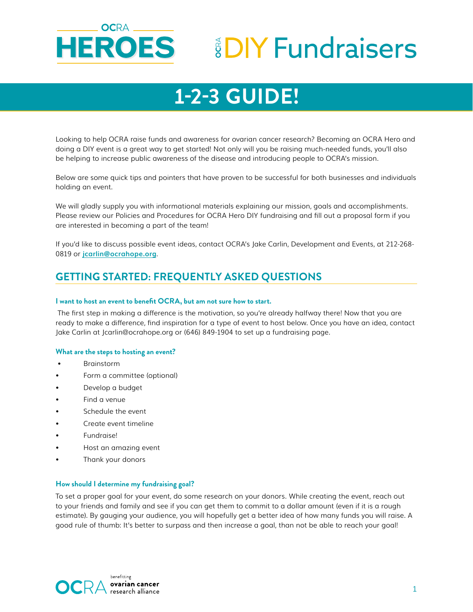

# **HEROES** *SDIY* Fundraisers

# **1-2-3 GUIDE!**

Looking to help OCRA raise funds and awareness for ovarian cancer research? Becoming an OCRA Hero and doing a DIY event is a great way to get started! Not only will you be raising much-needed funds, you'll also be helping to increase public awareness of the disease and introducing people to OCRA's mission.

Below are some quick tips and pointers that have proven to be successful for both businesses and individuals holding an event.

We will gladly supply you with informational materials explaining our mission, goals and accomplishments. Please review our Policies and Procedures for OCRA Hero DIY fundraising and fill out a proposal form if you are interested in becoming a part of the team!

If you'd like to discuss possible event ideas, contact OCRA's Jake Carlin, Development and Events, at 212-268- 0819 or **jcarlin[@ocrahope.org](mailto:jcarlin%40ocrahope.org?subject=Interest%20in%20DIY%20event)**.

## **GETTING STARTED: FREQUENTLY ASKED QUESTIONS**

#### **I want to host an event to benefit OCRA, but am not sure how to start.**

 The first step in making a difference is the motivation, so you're already halfway there! Now that you are ready to make a difference, find inspiration for a type of event to host below. Once you have an idea, contact Jake Carlin at Jcarlin@ocrahope.org or (646) 849-1904 to set up a fundraising page.

#### **What are the steps to hosting an event?**

- Brainstorm
- Form a committee (optional)
- Develop a budget
- Find a venue
- Schedule the event
- Create event timeline
- Fundraise!
- Host an amazing event
- Thank your donors

#### **How should I determine my fundraising goal?**

To set a proper goal for your event, do some research on your donors. While creating the event, reach out to your friends and family and see if you can get them to commit to a dollar amount (even if it is a rough estimate). By gauging your audience, you will hopefully get a better idea of how many funds you will raise. A good rule of thumb: It's better to surpass and then increase a goal, than not be able to reach your goal!

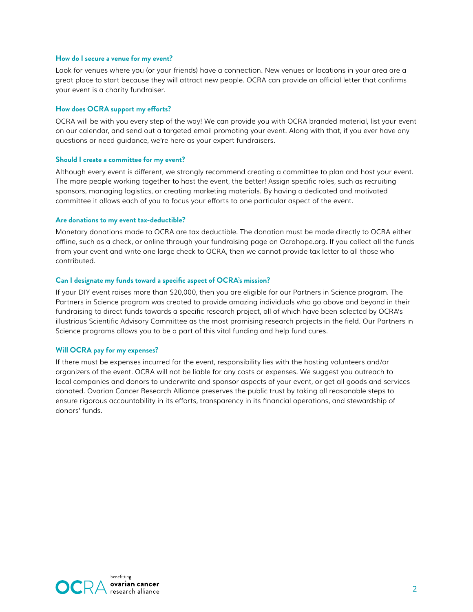#### **How do I secure a venue for my event?**

Look for venues where you (or your friends) have a connection. New venues or locations in your area are a great place to start because they will attract new people. OCRA can provide an official letter that confirms your event is a charity fundraiser.

#### **How does OCRA support my efforts?**

OCRA will be with you every step of the way! We can provide you with OCRA branded material, list your event on our calendar, and send out a targeted email promoting your event. Along with that, if you ever have any questions or need guidance, we're here as your expert fundraisers.

#### **Should I create a committee for my event?**

Although every event is different, we strongly recommend creating a committee to plan and host your event. The more people working together to host the event, the better! Assign specific roles, such as recruiting sponsors, managing logistics, or creating marketing materials. By having a dedicated and motivated committee it allows each of you to focus your efforts to one particular aspect of the event.

#### **Are donations to my event tax-deductible?**

Monetary donations made to OCRA are tax deductible. The donation must be made directly to OCRA either offline, such as a check, or online through your fundraising page on Ocrahope.org. If you collect all the funds from your event and write one large check to OCRA, then we cannot provide tax letter to all those who contributed.

#### **Can I designate my funds toward a specific aspect of OCRA's mission?**

If your DIY event raises more than \$20,000, then you are eligible for our Partners in Science program. The Partners in Science program was created to provide amazing individuals who go above and beyond in their fundraising to direct funds towards a specific research project, all of which have been selected by OCRA's illustrious Scientific Advisory Committee as the most promising research projects in the field. Our Partners in Science programs allows you to be a part of this vital funding and help fund cures.

#### **Will OCRA pay for my expenses?**

If there must be expenses incurred for the event, responsibility lies with the hosting volunteers and/or organizers of the event. OCRA will not be liable for any costs or expenses. We suggest you outreach to local companies and donors to underwrite and sponsor aspects of your event, or get all goods and services donated. Ovarian Cancer Research Alliance preserves the public trust by taking all reasonable steps to ensure rigorous accountability in its efforts, transparency in its financial operations, and stewardship of donors' funds.